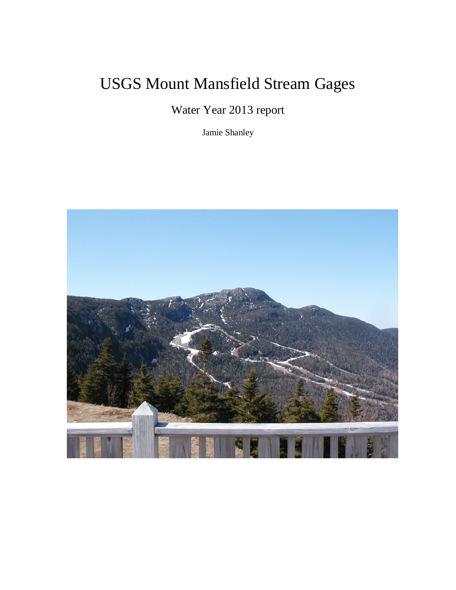## USGS Mount Mansfield Stream Gages

Water Year 2013 report

Jamie Shanley

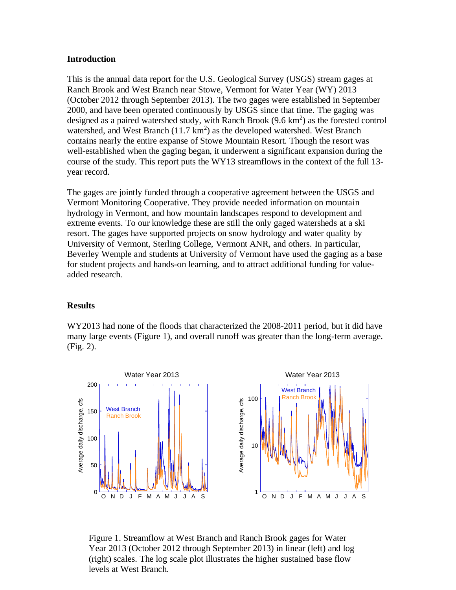## **Introduction**

This is the annual data report for the U.S. Geological Survey (USGS) stream gages at Ranch Brook and West Branch near Stowe, Vermont for Water Year (WY) 2013 (October 2012 through September 2013). The two gages were established in September 2000, and have been operated continuously by USGS since that time. The gaging was designed as a paired watershed study, with Ranch Brook  $(9.6 \text{ km}^2)$  as the forested control watershed, and West Branch  $(11.7 \text{ km}^2)$  as the developed watershed. West Branch contains nearly the entire expanse of Stowe Mountain Resort. Though the resort was well-established when the gaging began, it underwent a significant expansion during the course of the study. This report puts the WY13 streamflows in the context of the full 13 year record.

The gages are jointly funded through a cooperative agreement between the USGS and Vermont Monitoring Cooperative. They provide needed information on mountain hydrology in Vermont, and how mountain landscapes respond to development and extreme events. To our knowledge these are still the only gaged watersheds at a ski resort. The gages have supported projects on snow hydrology and water quality by University of Vermont, Sterling College, Vermont ANR, and others. In particular, Beverley Wemple and students at University of Vermont have used the gaging as a base for student projects and hands-on learning, and to attract additional funding for valueadded research.

## **Results**

WY2013 had none of the floods that characterized the 2008-2011 period, but it did have many large events (Figure 1), and overall runoff was greater than the long-term average. (Fig. 2).



Figure 1. Streamflow at West Branch and Ranch Brook gages for Water Year 2013 (October 2012 through September 2013) in linear (left) and log (right) scales. The log scale plot illustrates the higher sustained base flow levels at West Branch.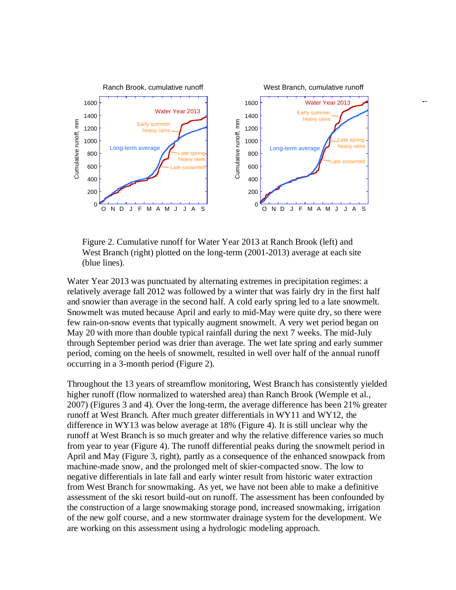

Figure 2. Cumulative runoff for Water Year 2013 at Ranch Brook (left) and West Branch (right) plotted on the long-term (2001-2013) average at each site (blue lines).

Water Year 2013 was punctuated by alternating extremes in precipitation regimes: a relatively average fall 2012 was followed by a winter that was fairly dry in the first half and snowier than average in the second half. A cold early spring led to a late snowmelt. Snowmelt was muted because April and early to mid-May were quite dry, so there were few rain-on-snow events that typically augment snowmelt. A very wet period began on May 20 with more than double typical rainfall during the next 7 weeks. The mid-July through September period was drier than average. The wet late spring and early summer period, coming on the heels of snowmelt, resulted in well over half of the annual runoff occurring in a 3-month period (Figure 2).

Throughout the 13 years of streamflow monitoring, West Branch has consistently yielded higher runoff (flow normalized to watershed area) than Ranch Brook (Wemple et al., 2007) (Figures 3 and 4). Over the long-term, the average difference has been 21% greater runoff at West Branch. After much greater differentials in WY11 and WY12, the difference in WY13 was below average at 18% (Figure 4). It is still unclear why the runoff at West Branch is so much greater and why the relative difference varies so much from year to year (Figure 4). The runoff differential peaks during the snowmelt period in April and May (Figure 3, right), partly as a consequence of the enhanced snowpack from machine-made snow, and the prolonged melt of skier-compacted snow. The low to negative differentials in late fall and early winter result from historic water extraction from West Branch for snowmaking. As yet, we have not been able to make a definitive assessment of the ski resort build-out on runoff. The assessment has been confounded by the construction of a large snowmaking storage pond, increased snowmaking, irrigation of the new golf course, and a new stormwater drainage system for the development. We are working on this assessment using a hydrologic modeling approach.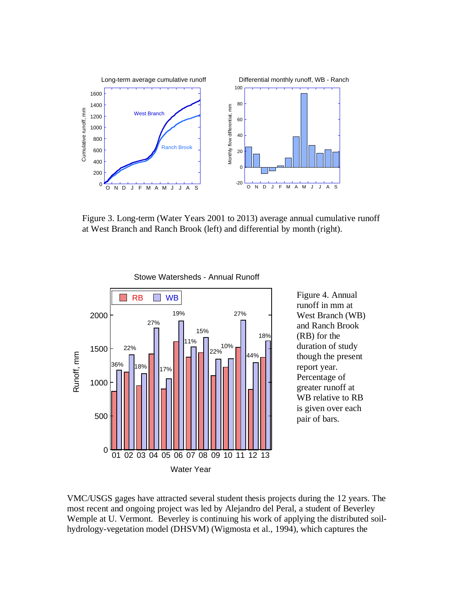

Figure 3. Long-term (Water Years 2001 to 2013) average annual cumulative runoff at West Branch and Ranch Brook (left) and differential by month (right).



Figure 4. Annual runoff in mm at West Branch (WB) and Ranch Brook (RB) for the duration of study though the present report year. Percentage of greater runoff at WB relative to RB is given over each pair of bars.

VMC/USGS gages have attracted several student thesis projects during the 12 years. The most recent and ongoing project was led by Alejandro del Peral, a student of Beverley Wemple at U. Vermont. Beverley is continuing his work of applying the distributed soilhydrology-vegetation model (DHSVM) (Wigmosta et al., 1994), which captures the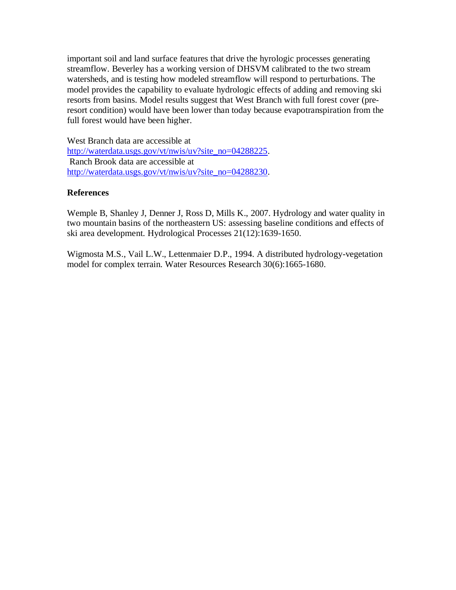important soil and land surface features that drive the hyrologic processes generating streamflow. Beverley has a working version of DHSVM calibrated to the two stream watersheds, and is testing how modeled streamflow will respond to perturbations. The model provides the capability to evaluate hydrologic effects of adding and removing ski resorts from basins. Model results suggest that West Branch with full forest cover (preresort condition) would have been lower than today because evapotranspiration from the full forest would have been higher.

West Branch data are accessible at [http://waterdata.usgs.gov/vt/nwis/uv?site\\_no=04288225.](http://waterdata.usgs.gov/vt/nwis/uv?site_no=04288225) Ranch Brook data are accessible at [http://waterdata.usgs.gov/vt/nwis/uv?site\\_no=04288230.](http://waterdata.usgs.gov/vt/nwis/uv?site_no=04288230)

## **References**

Wemple B, Shanley J, Denner J, Ross D, Mills K., 2007. Hydrology and water quality in two mountain basins of the northeastern US: assessing baseline conditions and effects of ski area development. Hydrological Processes 21(12):1639-1650.

Wigmosta M.S., Vail L.W., Lettenmaier D.P., 1994. A distributed hydrology-vegetation model for complex terrain. Water Resources Research 30(6):1665-1680.